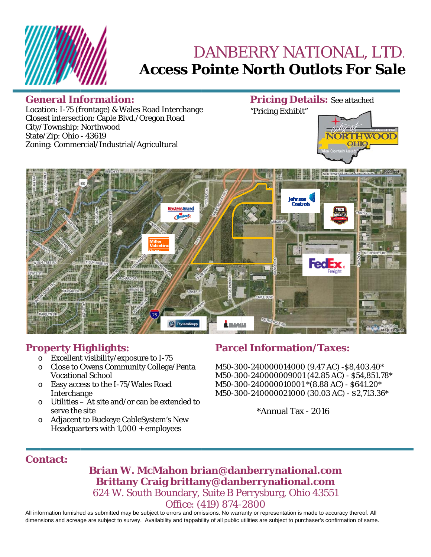

# DANBERRY NATIONAL, LTD. **Access Pointe North Outlots For Sale**

### **General Information:**

**Pricing Details: See attached** "Pricing Exhibit"

Location: I-75 (frontage) & Wales Road Interchange Closest intersection: Caple Blvd./Oregon Road City/Township: Northwood State/Zip: Ohio - 43619 Zoning: Commercial/Industrial/Agricultural





### **Property Highlights:**

- Excellent visibility/exposure to I-75  $\circ$
- o Close to Owens Community College/Penta **Vocational School**
- o Easy access to the I-75/Wales Road Interchange
- $\circ$  Utilities At site and/or can be extended to serve the site
- o Adjacent to Buckeye CableSystem's New Headquarters with  $1,000 +$  employees

## **Parcel Information/Taxes:**

M50-300-240000014000 (9.47 AC) -\$8,403.40\* M50-300-240000009001 (42.85 AC) - \$54,851.78\* M50-300-240000010001 \*(8.88 AC) - \$641.20\* M50-300-240000021000 (30.03 AC) - \$2,713.36\*

 $*$ Annual Tax - 2016

### **Contact:**

Brian W. McMahon brian@danberrynational.com Brittany Craig brittany@danberrynational.com 624 W. South Boundary, Suite B Perrysburg, Ohio 43551 Office: (419) 874-2800

All information furnished as submitted may be subject to errors and omissions. No warranty or representation is made to accuracy thereof. All dimensions and acreage are subject to survey. Availability and tappability of all public utilities are subject to purchaser's confirmation of same.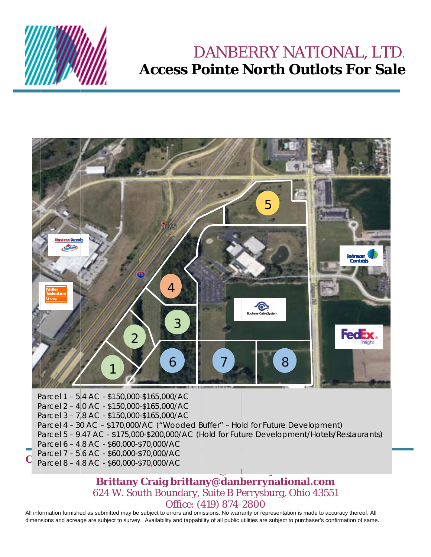

## DANBERRY NATIONAL, LTD. **Access Pointe North Outlots For Sale**



### Brittany Craig brittany@danberrynational.com 624 W. South Boundary, Suite B Perrysburg, Ohio 43551 Office: (419) 874-2800

All information furnished as submitted may be subject to errors and omissions. No warranty or representation is made to accuracy thereof. All dimensions and acreage are subject to survey. Availability and tappability of all public utilities are subject to purchaser's confirmation of same.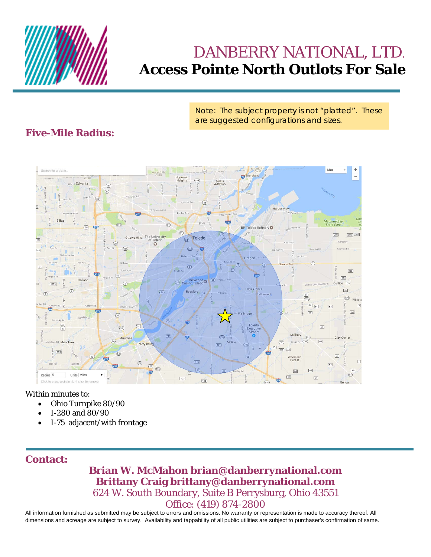

## DANBERRY NATIONAL, LTD. **Access Pointe North Outlots For Sale**

Note: The subject property is not "platted". These are suggested configurations and sizes.

## **Five-Mile Radius:**



Within minutes to:

- Ohio Turnpike 80/90
- I-280 and 80/90
- I-75 adjacent/with frontage

### **Contact:**

### **Brian W. McMahon brian@danberrynational.com Brittany Craig brittany@danberrynational.com**  624 W. South Boundary, Suite B Perrysburg, Ohio 43551 Office: (419) 874-2800

All information furnished as submitted may be subject to errors and omissions. No warranty or representation is made to accuracy thereof. All dimensions and acreage are subject to survey. Availability and tappability of all public utilities are subject to purchaser's confirmation of same.